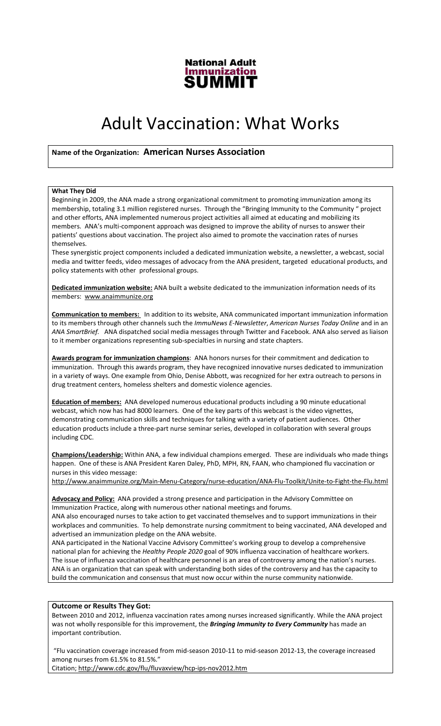

# Adult Vaccination: What Works

# Name of the Organization: American Nurses Association

## What They Did

Beginning in 2009, the ANA made a strong organizational commitment to promoting immunization among its membership, totaling 3.1 million registered nurses. Through the "Bringing Immunity to the Community " project and other efforts, ANA implemented numerous project activities all aimed at educating and mobilizing its members. ANA's multi-component approach was designed to improve the ability of nurses to answer their patients' questions about vaccination. The project also aimed to promote the vaccination rates of nurses themselves.

These synergistic project components included a dedicated immunization website, a newsletter, a webcast, social media and twitter feeds, video messages of advocacy from the ANA president, targeted educational products, and policy statements with other professional groups.

Dedicated immunization website: ANA built a website dedicated to the immunization information needs of its members: www.anaimmunize.org

Communication to members: In addition to its website, ANA communicated important immunization information to its members through other channels such the ImmuNews E-Newsletter, American Nurses Today Online and in an ANA SmartBrief. ANA dispatched social media messages through Twitter and Facebook. ANA also served as liaison to it member organizations representing sub-specialties in nursing and state chapters.

Awards program for immunization champions: ANA honors nurses for their commitment and dedication to immunization. Through this awards program, they have recognized innovative nurses dedicated to immunization in a variety of ways. One example from Ohio, Denise Abbott, was recognized for her extra outreach to persons in drug treatment centers, homeless shelters and domestic violence agencies.

Education of members: ANA developed numerous educational products including a 90 minute educational webcast, which now has had 8000 learners. One of the key parts of this webcast is the video vignettes, demonstrating communication skills and techniques for talking with a variety of patient audiences. Other education products include a three-part nurse seminar series, developed in collaboration with several groups including CDC.

Champions/Leadership: Within ANA, a few individual champions emerged. These are individuals who made things happen. One of these is ANA President Karen Daley, PhD, MPH, RN, FAAN, who championed flu vaccination or nurses in this video message:

http://www.anaimmunize.org/Main-Menu-Category/nurse-education/ANA-Flu-Toolkit/Unite-to-Fight-the-Flu.html

Advocacy and Policy: ANA provided a strong presence and participation in the Advisory Committee on Immunization Practice, along with numerous other national meetings and forums.

ANA also encouraged nurses to take action to get vaccinated themselves and to support immunizations in their workplaces and communities. To help demonstrate nursing commitment to being vaccinated, ANA developed and advertised an immunization pledge on the ANA website.

ANA participated in the National Vaccine Advisory Committee's working group to develop a comprehensive national plan for achieving the Healthy People 2020 goal of 90% influenza vaccination of healthcare workers. The issue of influenza vaccination of healthcare personnel is an area of controversy among the nation's nurses. ANA is an organization that can speak with understanding both sides of the controversy and has the capacity to build the communication and consensus that must now occur within the nurse community nationwide.

### Outcome or Results They Got:

Between 2010 and 2012, influenza vaccination rates among nurses increased significantly. While the ANA project was not wholly responsible for this improvement, the *Bringing Immunity to Every Community* has made an important contribution.

 "Flu vaccination coverage increased from mid-season 2010-11 to mid-season 2012-13, the coverage increased among nurses from 61.5% to 81.5%."

Citation; http://www.cdc.gov/flu/fluvaxview/hcp-ips-nov2012.htm